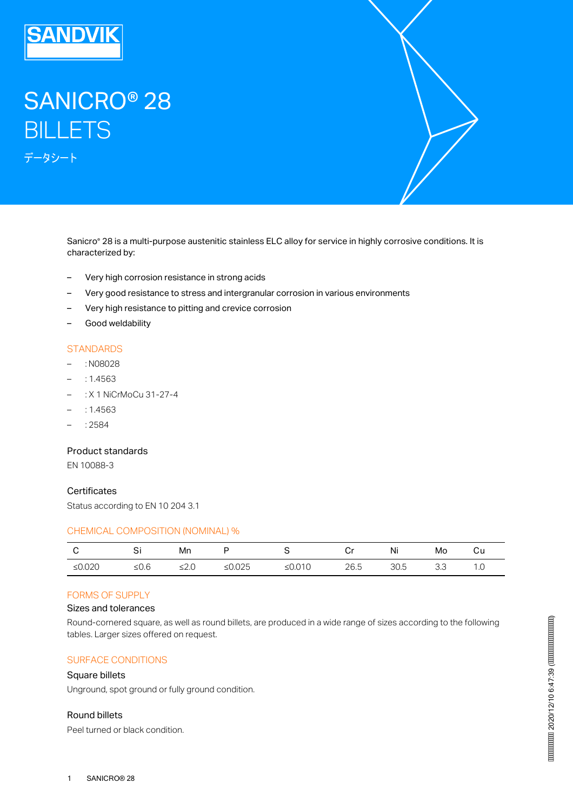

# SANICRO® 28 **BILLETS** データシート

Sanicro® 28 is a multi-purpose austenitic stainless ELC alloy for service in highly corrosive conditions. It is characterized by:

- Very high corrosion resistance in strong acids
- Very good resistance to stress and intergranular corrosion in various environments
- Very high resistance to pitting and crevice corrosion
- Good weldability

## **STANDARDS**

- : N08028
- : 1.4563
- : X 1 NiCrMoCu 31-27-4
- : 1.4563
- : 2584

## Product standards

EN 10088-3

#### **Certificates**

Status according to EN 10 204 3.1

#### CHEMICAL COMPOSITION (NOMINAL) %

| $\mathbf{C}$ | i Si    | Mn         | <b>D</b> | $\mathbf{S}$ and $\mathbf{S}$ |      | Ni   | Mo    | Сu |
|--------------|---------|------------|----------|-------------------------------|------|------|-------|----|
| ≤ $0.020$    | ≤ $0.6$ | $\leq 2.0$ | ≤0.025   | ≤0.010                        | 26.5 | 30.5 | - 3.3 |    |

#### FORMS OF SUPPLY

#### Sizes and tolerances

Round-cornered square, as well as round billets, are produced in a wide range of sizes according to the following tables. Larger sizes offered on request.

## SURFACE CONDITIONS

#### Square billets

Unground, spot ground or fully ground condition.

## Round billets

Peel turned or black condition.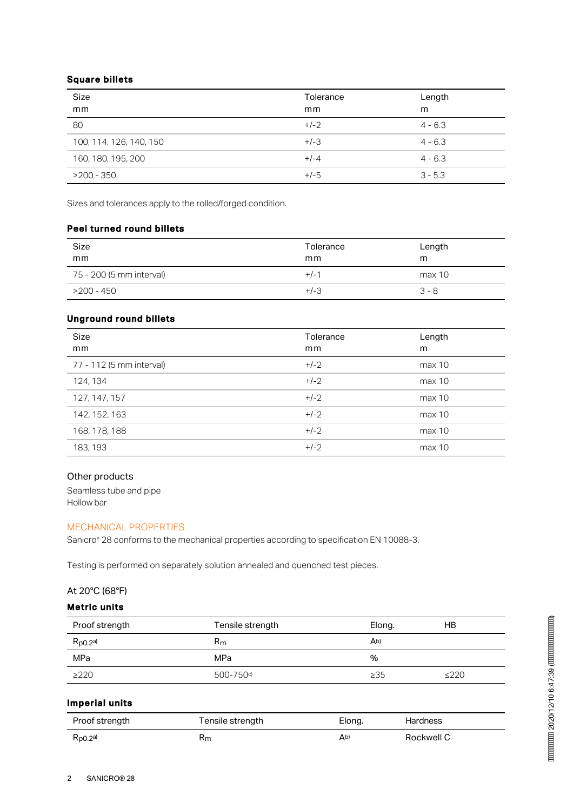## Square billets

| Size<br>mm              | Tolerance<br>mm | Length<br>m |
|-------------------------|-----------------|-------------|
| 80                      | $+/-2$          | $4 - 6.3$   |
| 100, 114, 126, 140, 150 | $+/-3$          | $4 - 6.3$   |
| 160, 180, 195, 200      | $+/-4$          | $4 - 6.3$   |
| $>200 - 350$            | $+/-5$          | $3 - 5.3$   |

Sizes and tolerances apply to the rolled/forged condition.

## Peel turned round billets

| Size<br>mm               | Tolerance<br>mm | Length<br>m |
|--------------------------|-----------------|-------------|
| 75 - 200 (5 mm interval) | $+/-1$          | max 10      |
| >200 - 450               | $+/-3$          | $3 - 8$     |

## Unground round billets

| <b>Size</b><br>mm        | Tolerance<br>mm | Length<br>m |
|--------------------------|-----------------|-------------|
| 77 - 112 (5 mm interval) | $+/-2$          | max 10      |
| 124, 134                 | $+/-2$          | max 10      |
| 127, 147, 157            | $+/-2$          | max 10      |
| 142, 152, 163            | $+/-2$          | max 10      |
| 168, 178, 188            | $+/-2$          | max 10      |
| 183, 193                 | $+/-2$          | max 10      |

## Other products

Seamless tube and pipe Hollow bar

## MECHANICAL PROPERTIES

Sanicro® 28 conforms to the mechanical properties according to specification EN 10088-3.

Testing is performed on separately solution annealed and quenched test pieces.

## At 20°C (68°F)

# Metric units

| Proof strength | Tensile strength | Elong.         | HВ         |
|----------------|------------------|----------------|------------|
| $R_{p0.2}$ a)  | Rm               | A <sub>b</sub> |            |
| MPa            | MPa              | %              |            |
| $\geq$ 220     | 500-750c)        | $\geq$ 35      | $\leq$ 220 |

## Imperial units

| Proof strength       | Tensile strength | Elong. | <b>Hardness</b> |
|----------------------|------------------|--------|-----------------|
| $R_{\text{D0.2}}$ a) | кm               | Ab)    | Rockwell C      |